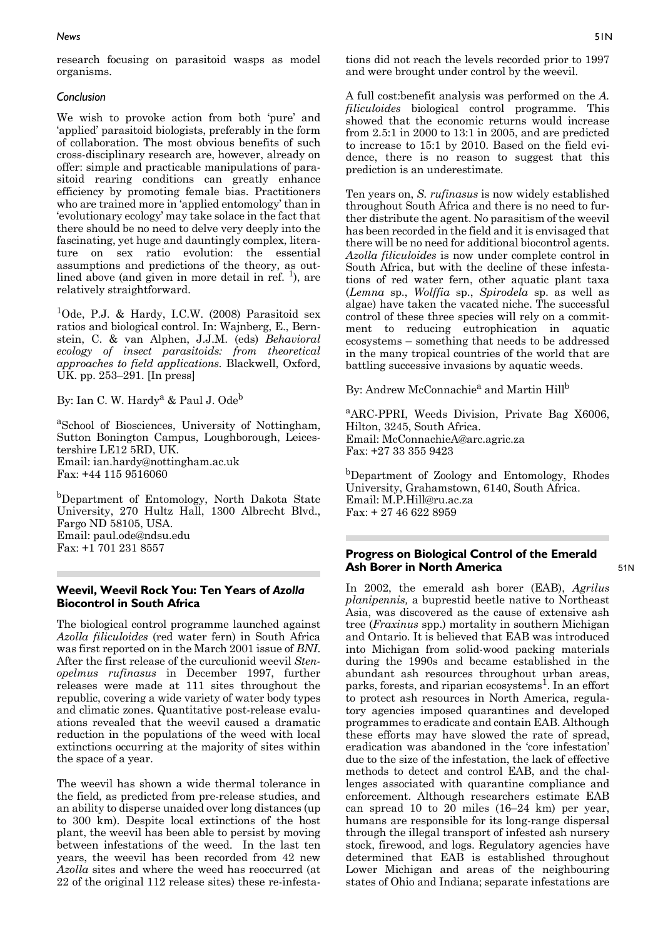# **Progress on Biological Control of the Emerald Ash Borer in North America**

In 2002, the emerald ash borer (EAB), *Agrilus planipennis,* a buprestid beetle native to Northeast Asia, was discovered as the cause of extensive ash tree (*Fraxinus* spp.) mortality in southern Michigan and Ontario. It is believed that EAB was introduced into Michigan from solid-wood packing materials during the 1990s and became established in the abundant ash resources throughout urban areas, parks, forests, and riparian ecosystems<sup>1</sup>. In an effort to protect ash resources in North America, regulatory agencies imposed quarantines and developed programmes to eradicate and contain EAB. Although these efforts may have slowed the rate of spread, eradication was abandoned in the 'core infestation' due to the size of the infestation, the lack of effective methods to detect and control EAB, and the challenges associated with quarantine compliance and enforcement. Although researchers estimate EAB can spread 10 to 20 miles (16–24 km) per year, humans are responsible for its long-range dispersal through the illegal transport of infested ash nursery stock, firewood, and logs. Regulatory agencies have determined that EAB is established throughout Lower Michigan and areas of the neighbouring states of Ohio and Indiana; separate infestations are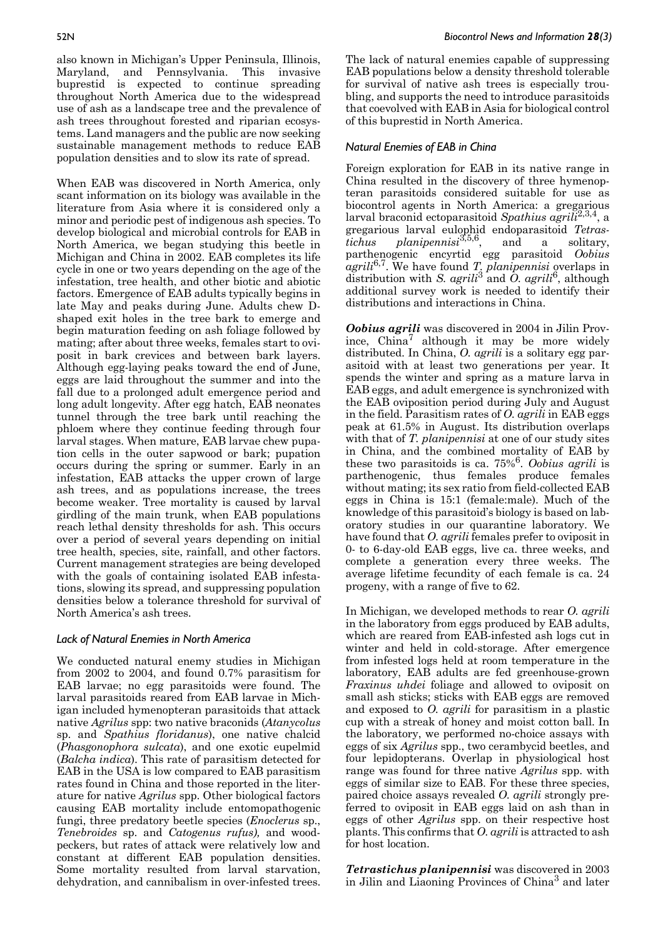also known in Michigan's Upper Peninsula, Illinois, Maryland, and Pennsylvania. This invasive buprestid is expected to continue spreading throughout North America due to the widespread use of ash as a landscape tree and the prevalence of ash trees throughout forested and riparian ecosystems. Land managers and the public are now seeking sustainable management methods to reduce EAB population densities and to slow its rate of spread.

When EAB was discovered in North America, only scant information on its biology was available in the literature from Asia where it is considered only a minor and periodic pest of indigenous ash species. To develop biological and microbial controls for EAB in North America, we began studying this beetle in Michigan and China in 2002. EAB completes its life cycle in one or two years depending on the age of the infestation, tree health, and other biotic and abiotic factors. Emergence of EAB adults typically begins in late May and peaks during June. Adults chew Dshaped exit holes in the tree bark to emerge and begin maturation feeding on ash foliage followed by mating; after about three weeks, females start to oviposit in bark crevices and between bark layers. Although egg-laying peaks toward the end of June, eggs are laid throughout the summer and into the fall due to a prolonged adult emergence period and long adult longevity. After egg hatch, EAB neonates tunnel through the tree bark until reaching the phloem where they continue feeding through four larval stages. When mature, EAB larvae chew pupation cells in the outer sapwood or bark; pupation occurs during the spring or summer. Early in an infestation, EAB attacks the upper crown of large ash trees, and as populations increase, the trees become weaker. Tree mortality is caused by larval girdling of the main trunk, when EAB populations reach lethal density thresholds for ash. This occurs over a period of several years depending on initial tree health, species, site, rainfall, and other factors. Current management strategies are being developed with the goals of containing isolated EAB infestations, slowing its spread, and suppressing population densities below a tolerance threshold for survival of North America's ash trees.

# *Lack of Natural Enemies in North America*

We conducted natural enemy studies in Michigan from 2002 to 2004, and found 0.7% parasitism for EAB larvae; no egg parasitoids were found. The larval parasitoids reared from EAB larvae in Michigan included hymenopteran parasitoids that attack native *Agrilus* spp: two native braconids (*Atanycolus* sp. and *Spathius floridanus*), one native chalcid (*Phasgonophora sulcata*), and one exotic eupelmid (*Balcha indica*). This rate of parasitism detected for EAB in the USA is low compared to EAB parasitism rates found in China and those reported in the literature for native *Agrilus* spp. Other biological factors causing EAB mortality include entomopathogenic fungi, three predatory beetle species (*Enoclerus* sp., *Tenebroides* sp. and *Catogenus rufus),* and woodpeckers, but rates of attack were relatively low and constant at different EAB population densities. Some mortality resulted from larval starvation, dehydration, and cannibalism in over-infested trees.

The lack of natural enemies capable of suppressing EAB populations below a density threshold tolerable for survival of native ash trees is especially troubling, and supports the need to introduce parasitoids that coevolved with EAB in Asia for biological control of this buprestid in North America.

### *Natural Enemies of EAB in China*

Foreign exploration for EAB in its native range in China resulted in the discovery of three hymenopteran parasitoids considered suitable for use as biocontrol agents in North America: a gregarious larval braconid ectoparasitoid *Spathius agrili*2,3,4, a gregarious larval eulophid endoparasitoid *Tetrastichus planipennisi*3,5,6, and a solitary, parthenogenic encyrtid egg parasitoid *Oobius agrili*6,7. We have found *T. planipennisi* overlaps in distribution with *S. agrili*3 and *O. agrili*6, although additional survey work is needed to identify their distributions and interactions in China.

*Oobius agrili* was discovered in 2004 in Jilin Province,  $China^7$  although it may be more widely distributed. In China, *O. agrili* is a solitary egg parasitoid with at least two generations per year. It spends the winter and spring as a mature larva in EAB eggs, and adult emergence is synchronized with the EAB oviposition period during July and August in the field. Parasitism rates of *O. agrili* in EAB eggs peak at 61.5% in August. Its distribution overlaps with that of *T. planipennisi* at one of our study sites in China, and the combined mortality of EAB by these two parasitoids is ca. 75%6. *Oobius agrili* is parthenogenic, thus females produce females without mating; its sex ratio from field-collected EAB eggs in China is 15:1 (female:male). Much of the knowledge of this parasitoid's biology is based on laboratory studies in our quarantine laboratory. We have found that *O. agrili* females prefer to oviposit in 0- to 6-day-old EAB eggs, live ca. three weeks, and complete a generation every three weeks. The average lifetime fecundity of each female is ca. 24 progeny, with a range of five to 62.

In Michigan, we developed methods to rear *O. agrili* in the laboratory from eggs produced by EAB adults, which are reared from EAB-infested ash logs cut in winter and held in cold-storage. After emergence from infested logs held at room temperature in the laboratory, EAB adults are fed greenhouse-grown *Fraxinus uhdei* foliage and allowed to oviposit on small ash sticks; sticks with EAB eggs are removed and exposed to *O. agrili* for parasitism in a plastic cup with a streak of honey and moist cotton ball. In the laboratory, we performed no-choice assays with eggs of six *Agrilus* spp., two cerambycid beetles, and four lepidopterans. Overlap in physiological host range was found for three native *Agrilus* spp. with eggs of similar size to EAB. For these three species, paired choice assays revealed *O. agrili* strongly preferred to oviposit in EAB eggs laid on ash than in eggs of other *Agrilus* spp. on their respective host plants. This confirms that *O. agrili* is attracted to ash for host location.

*Tetrastichus planipennisi* was discovered in 2003 in Jilin and Liaoning Provinces of China3 and later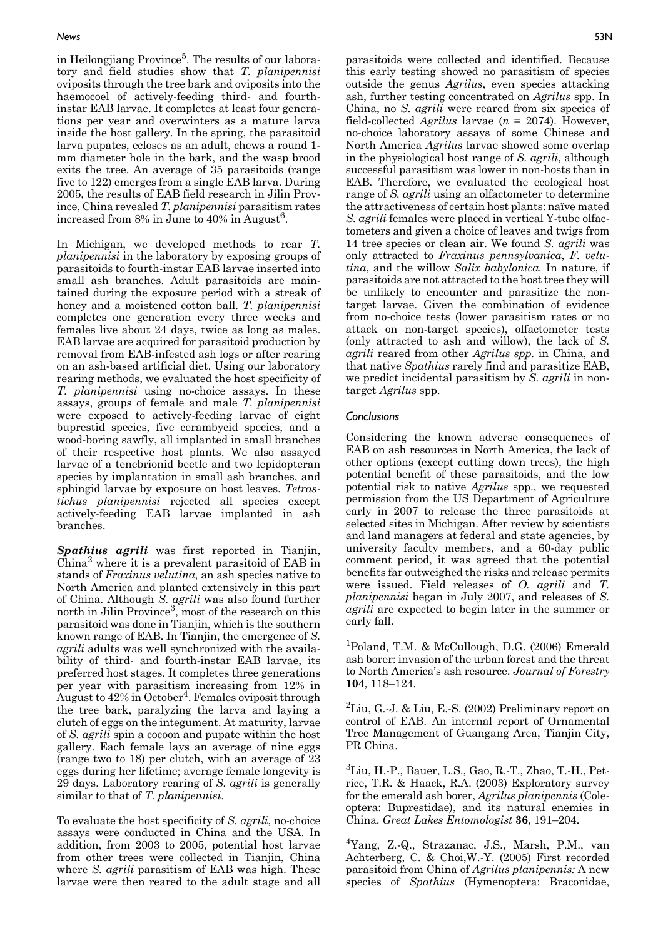#### *News* 53N

in Heilongjiang Province<sup>5</sup>. The results of our laboratory and field studies show that *T. planipennisi* oviposits through the tree bark and oviposits into the haemocoel of actively-feeding third- and fourthinstar EAB larvae. It completes at least four generations per year and overwinters as a mature larva inside the host gallery. In the spring, the parasitoid larva pupates, ecloses as an adult, chews a round 1 mm diameter hole in the bark, and the wasp brood exits the tree. An average of 35 parasitoids (range five to 122) emerges from a single EAB larva. During 2005, the results of EAB field research in Jilin Province, China revealed *T. planipennisi* parasitism rates increased from  $8\%$  in June to  $40\%$  in August<sup>6</sup>.

In Michigan, we developed methods to rear *T. planipennisi* in the laboratory by exposing groups of parasitoids to fourth-instar EAB larvae inserted into small ash branches. Adult parasitoids are maintained during the exposure period with a streak of honey and a moistened cotton ball. *T. planipennisi* completes one generation every three weeks and females live about 24 days, twice as long as males. EAB larvae are acquired for parasitoid production by removal from EAB-infested ash logs or after rearing on an ash-based artificial diet. Using our laboratory rearing methods, we evaluated the host specificity of *T. planipennisi* using no-choice assays. In these assays, groups of female and male *T. planipennisi* were exposed to actively-feeding larvae of eight buprestid species, five cerambycid species, and a wood-boring sawfly, all implanted in small branches of their respective host plants. We also assayed larvae of a tenebrionid beetle and two lepidopteran species by implantation in small ash branches, and sphingid larvae by exposure on host leaves. *Tetrastichus planipennisi* rejected all species except actively-feeding EAB larvae implanted in ash branches.

*Spathius agrili* was first reported in Tianjin,  $China<sup>2</sup>$  where it is a prevalent parasitoid of EAB in stands of *Fraxinus velutina*, an ash species native to North America and planted extensively in this part of China. Although *S. agrili* was also found further north in Jilin Province<sup>3</sup>, most of the research on this parasitoid was done in Tianjin, which is the southern known range of EAB. In Tianjin, the emergence of *S. agrili* adults was well synchronized with the availability of third- and fourth-instar EAB larvae, its preferred host stages. It completes three generations per year with parasitism increasing from 12% in August to  $42\%$  in October<sup>4</sup>. Females oviposit through the tree bark, paralyzing the larva and laying a clutch of eggs on the integument. At maturity, larvae of *S. agrili* spin a cocoon and pupate within the host gallery. Each female lays an average of nine eggs (range two to 18) per clutch, with an average of 23 eggs during her lifetime; average female longevity is 29 days. Laboratory rearing of *S. agrili* is generally similar to that of *T. planipennisi*.

To evaluate the host specificity of *S. agrili*, no-choice assays were conducted in China and the USA. In addition, from 2003 to 2005, potential host larvae from other trees were collected in Tianjin, China where *S. agrili* parasitism of EAB was high. These larvae were then reared to the adult stage and all

parasitoids were collected and identified. Because this early testing showed no parasitism of species outside the genus *Agrilus*, even species attacking ash, further testing concentrated on *Agrilus* spp. In China, no *S. agrili* were reared from six species of field-collected *Agrilus* larvae (*n* = 2074). However, no-choice laboratory assays of some Chinese and North America *Agrilus* larvae showed some overlap in the physiological host range of *S. agrili*, although successful parasitism was lower in non-hosts than in EAB*.* Therefore, we evaluated the ecological host range of *S. agrili* using an olfactometer to determine the attractiveness of certain host plants: naïve mated *S. agrili* females were placed in vertical Y-tube olfactometers and given a choice of leaves and twigs from 14 tree species or clean air. We found *S. agrili* was only attracted to *Fraxinus pennsylvanica*, *F. velutina*, and the willow *Salix babylonica.* In nature, if parasitoids are not attracted to the host tree they will be unlikely to encounter and parasitize the nontarget larvae. Given the combination of evidence from no-choice tests (lower parasitism rates or no attack on non-target species), olfactometer tests (only attracted to ash and willow), the lack of *S. agrili* reared from other *Agrilus spp.* in China, and that native *Spathius* rarely find and parasitize EAB, we predict incidental parasitism by *S. agrili* in nontarget *Agrilus* spp.

# *Conclusions*

Considering the known adverse consequences of EAB on ash resources in North America, the lack of other options (except cutting down trees), the high potential benefit of these parasitoids, and the low potential risk to native *Agrilus* spp., we requested permission from the US Department of Agriculture early in 2007 to release the three parasitoids at selected sites in Michigan. After review by scientists and land managers at federal and state agencies, by university faculty members, and a 60-day public comment period, it was agreed that the potential benefits far outweighed the risks and release permits were issued. Field releases of *O. agrili* and *T. planipennisi* began in July 2007, and releases of *S. agrili* are expected to begin later in the summer or early fall.

1Poland, T.M. & McCullough, D.G. (2006) Emerald ash borer: invasion of the urban forest and the threat to North America's ash resource. *Journal of Forestry* **104**, 118–124.

<sup>2</sup>Liu, G.-J. & Liu, E.-S. (2002) Preliminary report on control of EAB. An internal report of Ornamental Tree Management of Guangang Area, Tianjin City, PR China.

 ${}^{3}$ Liu, H.-P., Bauer, L.S., Gao, R.-T., Zhao, T.-H., Petrice, T.R. & Haack, R.A. (2003) Exploratory survey for the emerald ash borer, *Agrilus planipennis* (Coleoptera: Buprestidae), and its natural enemies in China. *Great Lakes Entomologist* **36**, 191–204.

4Yang, Z.-Q., Strazanac, J.S., Marsh, P.M., van Achterberg, C. & Choi,W.-Y. (2005) First recorded parasitoid from China of *Agrilus planipennis:* A new species of *Spathius* (Hymenoptera: Braconidae,